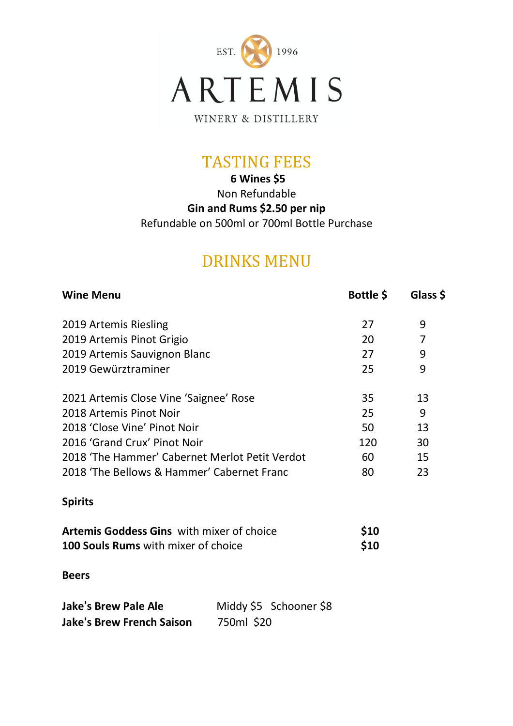

WINERY & DISTILLERY

## TASTING FEES

**6 Wines \$5** Non Refundable **Gin and Rums \$2.50 per nip** Refundable on 500ml or 700ml Bottle Purchase

## DRINKS MENU

| <b>Wine Menu</b>                               | Bottle \$ | Glass \$ |
|------------------------------------------------|-----------|----------|
| 2019 Artemis Riesling                          | 27        | 9        |
| 2019 Artemis Pinot Grigio                      | 20        |          |
| 2019 Artemis Sauvignon Blanc                   | 27        | 9        |
| 2019 Gewürztraminer                            | 25        | 9        |
| 2021 Artemis Close Vine 'Saignee' Rose         | 35        | 13       |
| 2018 Artemis Pinot Noir                        | 25        | 9        |
| 2018 'Close Vine' Pinot Noir                   | 50        | 13       |
| 2016 'Grand Crux' Pinot Noir                   | 120       | 30       |
| 2018 'The Hammer' Cabernet Merlot Petit Verdot | 60        | 15       |
| 2018 'The Bellows & Hammer' Cabernet Franc     | 80        | 23       |
|                                                |           |          |

### **Spirits**

| <b>Artemis Goddess Gins</b> with mixer of choice | <b>\$10</b> |
|--------------------------------------------------|-------------|
| 100 Souls Rums with mixer of choice              | \$10        |

#### **Beers**

| <b>Jake's Brew Pale Ale</b>      |            | Middy \$5 Schooner \$8 |
|----------------------------------|------------|------------------------|
| <b>Jake's Brew French Saison</b> | 750ml \$20 |                        |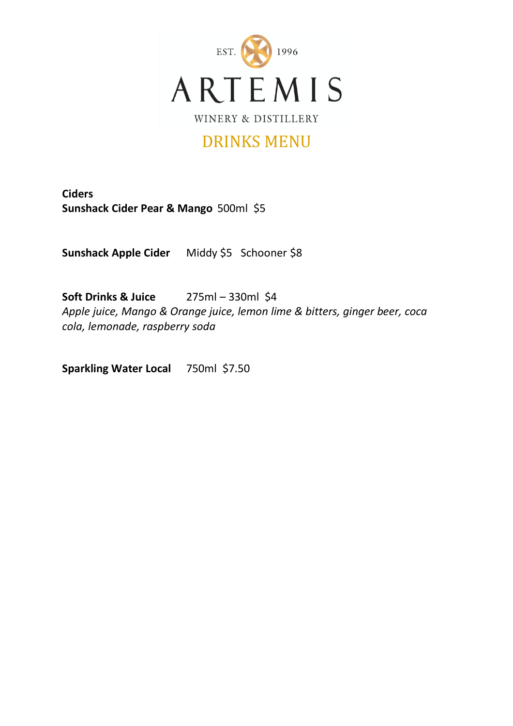

### DRINKS MENU

**Ciders Sunshack Cider Pear & Mango** 500ml \$5

**Sunshack Apple Cider** Middy \$5 Schooner \$8

**Soft Drinks & Juice** 275ml – 330ml \$4 *Apple juice, Mango & Orange juice, lemon lime & bitters, ginger beer, coca cola, lemonade, raspberry soda*

**Sparkling Water Local** 750ml \$7.50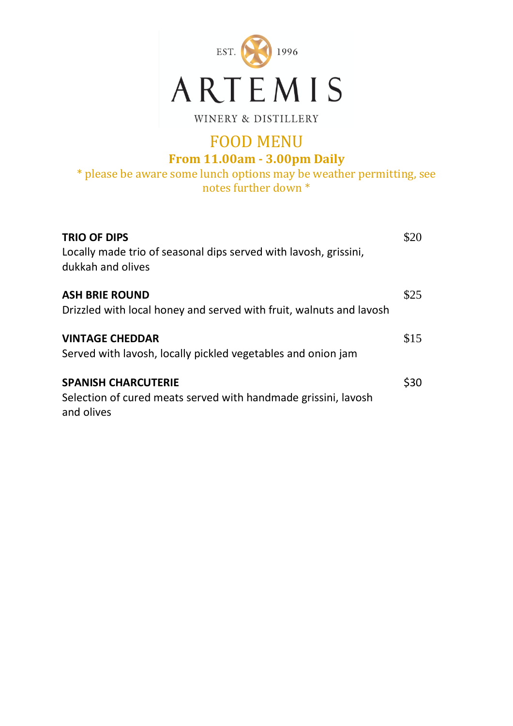

WINERY & DISTILLERY

# FOOD MENU

**From 11.00am - 3.00pm Daily**

\* please be aware some lunch options may be weather permitting, see notes further down \*

| <b>TRIO OF DIPS</b><br>Locally made trio of seasonal dips served with lavosh, grissini,<br>dukkah and olives | \$20 |
|--------------------------------------------------------------------------------------------------------------|------|
| <b>ASH BRIE ROUND</b><br>Drizzled with local honey and served with fruit, walnuts and lavosh                 | \$25 |
| <b>VINTAGE CHEDDAR</b><br>Served with lavosh, locally pickled vegetables and onion jam                       | \$15 |
| <b>SPANISH CHARCUTERIE</b><br>Selection of cured meats served with handmade grissini, lavosh<br>and olives   | \$30 |